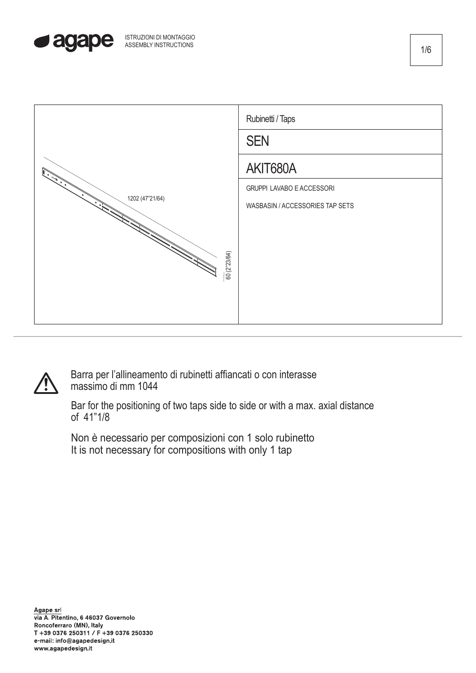





Barra per l'allineamento di rubinetti affiancati o con interasse massimo di mm 1044

Bar for the positioning of two taps side to side or with a max. axial distance of 41"1/8

Non è necessario per composizioni con 1 solo rubinetto It is not necessary for compositions with only 1 tap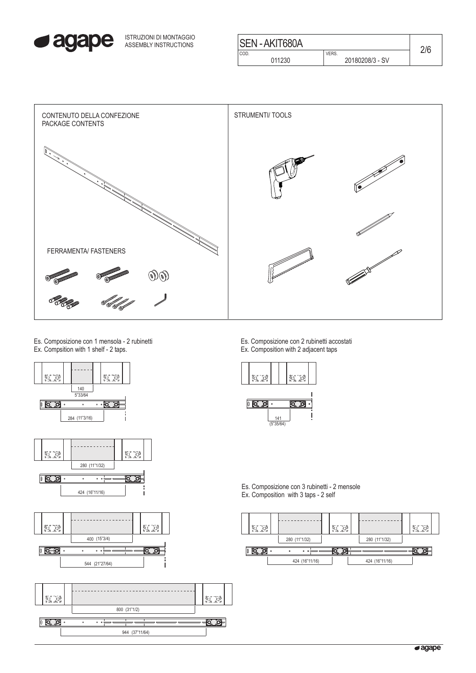

ISTRUZIONI DI MONTAGGIO ASSEMBLY INSTRUCTIONS

| <b>SEN-AKIT680A</b> |                 |  |
|---------------------|-----------------|--|
| COD.                | VERS.           |  |
| 011230              | 20180208/3 - SV |  |
|                     |                 |  |



Es. Composizione con 1 mensola - 2 rubinetti Ex. Compsition with 1 shelf - 2 taps.









Es. Composizione con 2 rubinetti accostati Ex. Composition with 2 adjacent taps





Es. Composizione con 3 rubinetti - 2 mensole Ex. Composition with 3 taps - 2 self

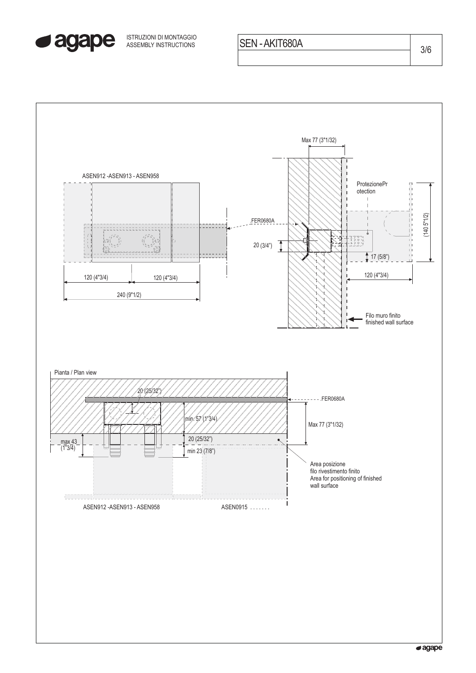

ASSEMBLY INSTRUCTIONS SEN - AKIT680A 3/6 ISTRUZIONI DI MONTAGGIO

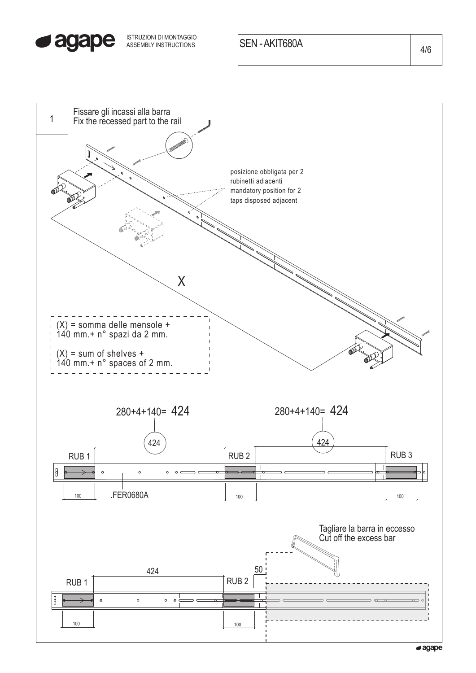

ISTRUZIONI DI MONTAGGIO<br>ASSEMBLY INSTRUCTIONS **SEN - AKIT680A** 4/6

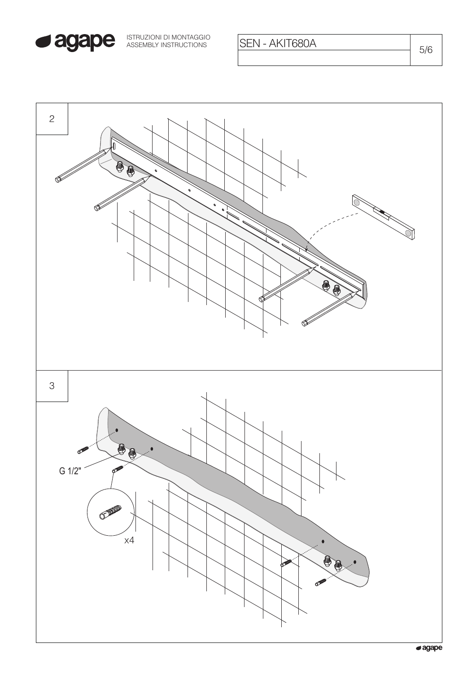

SEN - AKIT680A

 $5/6$